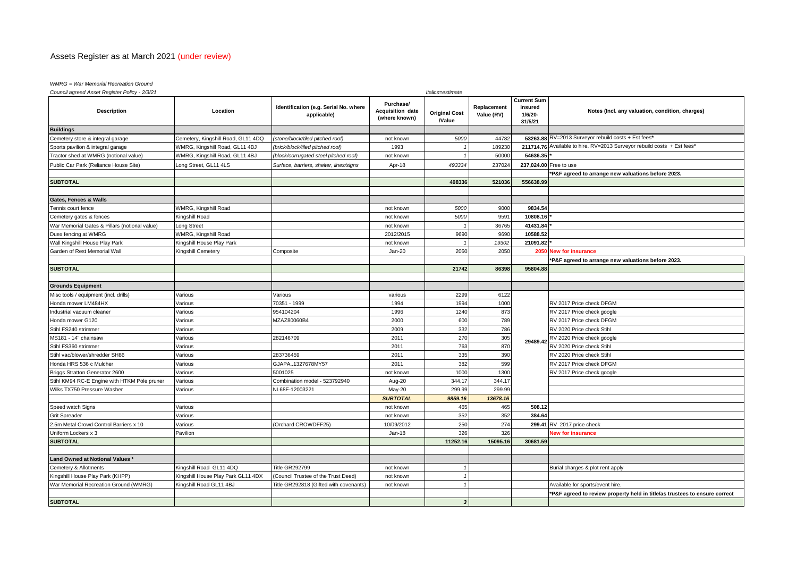# Assets Register as at March 2021 (under review)

## *WMRG = War Memorial Recreation Ground*

| Council agreed Asset Register Policy - 2/3/21 |                                    |                                                      |                                                       |                                      | Italics=estimate          |                                                     |                                                                            |  |  |
|-----------------------------------------------|------------------------------------|------------------------------------------------------|-------------------------------------------------------|--------------------------------------|---------------------------|-----------------------------------------------------|----------------------------------------------------------------------------|--|--|
| <b>Description</b>                            | Location                           | Identification (e.g. Serial No. where<br>applicable) | Purchase/<br><b>Acquisition date</b><br>(where known) | <b>Original Cost</b><br><b>Nalue</b> | Replacement<br>Value (RV) | <b>Current Sum</b><br>insured<br>1/6/20-<br>31/5/21 | Notes (Incl. any valuation, condition, charges)                            |  |  |
| <b>Buildings</b>                              |                                    |                                                      |                                                       |                                      |                           |                                                     |                                                                            |  |  |
| Cemetery store & integral garage              | Cemetery, Kingshill Road, GL11 4DQ | (stone/block/tiled pitched roof)                     | not known                                             | 5000                                 | 44782                     |                                                     | 53263.88 RV=2013 Surveyor rebuild costs + Est fees*                        |  |  |
| Sports pavilion & integral garage             | WMRG, Kingshill Road, GL11 4BJ     | (brick/block/tiled pitched roof)                     | 1993                                                  |                                      | 189230                    |                                                     | 211714.76 Available to hire. RV=2013 Surveyor rebuild costs + Est fees*    |  |  |
| Tractor shed at WMRG (notional value)         | WMRG, Kingshill Road, GL11 4BJ     | (block/corrugated steel pitched roof)                | not known                                             |                                      | 50000                     | 54636.35                                            |                                                                            |  |  |
| Public Car Park (Reliance House Site)         | ong Street, GL11 4LS               | Surface, barriers, shelter, lines/signs              | Apr-18                                                | 493334                               | 237024                    |                                                     | 237,024.00 Free to use                                                     |  |  |
|                                               |                                    |                                                      |                                                       |                                      |                           |                                                     | P&F agreed to arrange new valuations before 2023.                          |  |  |
| <b>SUBTOTAL</b>                               |                                    |                                                      |                                                       | 49833                                | 521036                    | 556638.99                                           |                                                                            |  |  |
|                                               |                                    |                                                      |                                                       |                                      |                           |                                                     |                                                                            |  |  |
| <b>Gates, Fences &amp; Walls</b>              |                                    |                                                      |                                                       |                                      |                           |                                                     |                                                                            |  |  |
| <b>Tennis court fence</b>                     | WMRG, Kingshill Road               |                                                      | not known                                             | 5000                                 | 9000                      | 9834.54                                             |                                                                            |  |  |
| Cemetery gates & fences                       | Kingshill Road                     |                                                      | not known                                             | 5000                                 | 9591                      | 10808.16                                            |                                                                            |  |  |
| War Memorial Gates & Pillars (notional value) | Long Street                        |                                                      | not known                                             |                                      | 36765                     | 41431.84                                            |                                                                            |  |  |
| Duex fencing at WMRG                          | WMRG, Kingshill Road               |                                                      | 2012/2015                                             | 9690                                 | 9690                      | 10588.52                                            |                                                                            |  |  |
| Wall Kingshill House Play Park                | Kingshill House Play Park          |                                                      | not known                                             |                                      | 19302                     | 21091.82                                            |                                                                            |  |  |
| Garden of Rest Memorial Wall                  | Kingshill Cemetery                 | Composite                                            | Jan-20                                                | 2050                                 | 2050                      | 2050                                                | <b>New for insurance</b>                                                   |  |  |
|                                               |                                    |                                                      |                                                       |                                      |                           |                                                     | P&F agreed to arrange new valuations before 2023.                          |  |  |
| <b>SUBTOTAL</b>                               |                                    |                                                      |                                                       | 21742                                | 86398                     | 95804.88                                            |                                                                            |  |  |
|                                               |                                    |                                                      |                                                       |                                      |                           |                                                     |                                                                            |  |  |
| <b>Grounds Equipment</b>                      |                                    |                                                      |                                                       |                                      |                           |                                                     |                                                                            |  |  |
| Misc tools / equipment (incl. drills)         | Various                            | Various                                              | various                                               | 2299                                 | 6122                      |                                                     |                                                                            |  |  |
| Honda mower LM484HX                           | Various                            | 70351 - 1999                                         | 1994                                                  | 1994                                 | 1000                      |                                                     | RV 2017 Price check DFGM                                                   |  |  |
| ndustrial vacuum cleaner                      | Various                            | 954104204                                            | 1996                                                  | 1240                                 | 873                       |                                                     | RV 2017 Price check google                                                 |  |  |
| Honda mower G120                              | Various                            | MZAZ80060B4                                          | 2000                                                  | 600                                  | 789                       |                                                     | RV 2017 Price check DFGM                                                   |  |  |
| Stihl FS240 strimmer                          | Various                            |                                                      | 2009                                                  | 332                                  | 786                       |                                                     | RV 2020 Price check Stihl                                                  |  |  |
| MS181 - 14" chainsaw                          | Various                            | 282146709                                            | 2011                                                  | 270                                  | 305                       | 29489.42                                            | RV 2020 Price check google                                                 |  |  |
| Stihl FS360 strimmer                          | Various                            |                                                      | 2011                                                  | 763                                  | 870                       |                                                     | RV 2020 Price check Stihl                                                  |  |  |
| Stihl vac/blower/shredder SH86                | Various                            | 283736459                                            | 2011                                                  | 335                                  | 390                       |                                                     | RV 2020 Price check Stihl                                                  |  |  |
| Honda HRS 536 c Mulcher                       | Various                            | GJAPA1327678MY57                                     | 2011                                                  | 382                                  | 599                       |                                                     | RV 2017 Price check DFGM                                                   |  |  |
| Briggs Stratton Generator 2600                | Various                            | 5001025                                              | not known                                             | 1000                                 | 1300                      |                                                     | RV 2017 Price check google                                                 |  |  |
| Stihl KM94 RC-E Engine with HTKM Pole pruner  | Various                            | Combination model - 523792940                        | Aug-20                                                | 344.17                               | 344.17                    |                                                     |                                                                            |  |  |
| Wilks TX750 Pressure Washer                   | Various                            | NL68F-12003221                                       | May-20                                                | 299.99                               | 299.99                    |                                                     |                                                                            |  |  |
|                                               |                                    |                                                      | <b>SUBTOTAL</b>                                       | 9859.16                              | 13678.16                  |                                                     |                                                                            |  |  |
| Speed watch Signs                             | Various                            |                                                      | not known                                             | 465                                  | 465                       | 508.12                                              |                                                                            |  |  |
| Grit Spreader                                 | Various                            |                                                      | not known                                             | 352                                  | 352                       | 384.64                                              |                                                                            |  |  |
| 5m Metal Crowd Control Barriers x 10          | Various                            | (Orchard CROWDFF25)                                  | 10/09/2012                                            | 250                                  | 274                       |                                                     | 299.41 RV 2017 price check                                                 |  |  |
| Uniform Lockers x 3                           | Pavilion                           |                                                      | Jan-18                                                | 326                                  | 326                       |                                                     | <b>New for insurance</b>                                                   |  |  |
| <b>SUBTOTAL</b>                               |                                    |                                                      |                                                       | 11252.16                             | 15095.16                  | 30681.59                                            |                                                                            |  |  |
|                                               |                                    |                                                      |                                                       |                                      |                           |                                                     |                                                                            |  |  |
| Land Owned at Notional Values *               |                                    |                                                      |                                                       |                                      |                           |                                                     |                                                                            |  |  |
| Cemetery & Allotments                         | Kingshill Road GL11 4DQ            | <b>Title GR292799</b>                                | not known                                             |                                      |                           |                                                     | Burial charges & plot rent apply                                           |  |  |
| Kingshill House Play Park (KHPP)              | Kingshill House Play Park GL11 4DX | (Council Trustee of the Trust Deed)                  | not known                                             |                                      |                           |                                                     |                                                                            |  |  |
| War Memorial Recreation Ground (WMRG)         | Kingshill Road GL11 4BJ            | Title GR292818 (Gifted with covenants)               | not known                                             |                                      |                           |                                                     | Available for sports/event hire.                                           |  |  |
|                                               |                                    |                                                      |                                                       |                                      |                           |                                                     | *P&F agreed to review property held in title/as trustees to ensure correct |  |  |
| <b>SUBTOTAL</b>                               |                                    |                                                      |                                                       |                                      |                           |                                                     |                                                                            |  |  |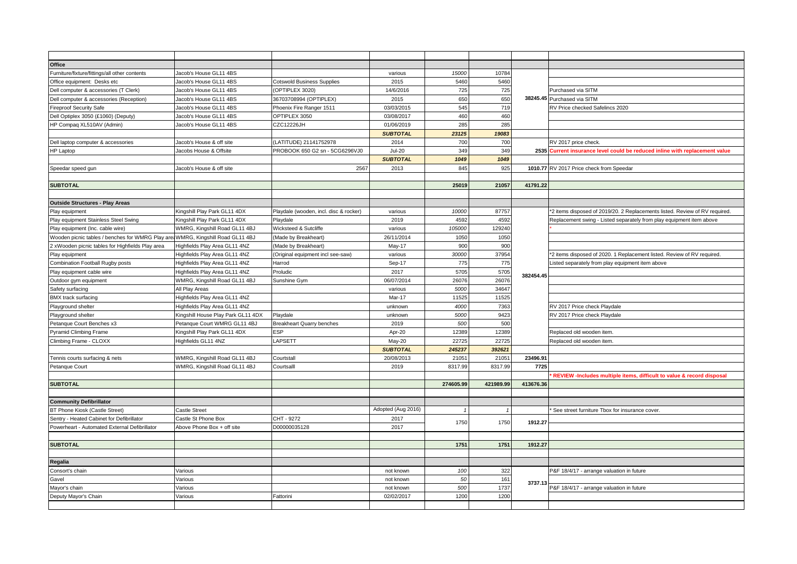| Office                                                                         |                                    |                                        |                    |           |           |           |                                                                             |
|--------------------------------------------------------------------------------|------------------------------------|----------------------------------------|--------------------|-----------|-----------|-----------|-----------------------------------------------------------------------------|
| Furniture/fixture/fittings/all other contents                                  | Jacob's House GL11 4BS             |                                        | various            | 15000     | 10784     |           |                                                                             |
| Office equipment: Desks etc                                                    | Jacob's House GL11 4BS             | <b>Cotswold Business Supplies</b>      | 2015               | 5460      | 5460      |           |                                                                             |
| Dell computer & accessories (T Clerk)                                          | Jacob's House GL11 4BS             | (OPTIPLEX 3020)                        | 14/6/2016          | 725       | 725       |           | Purchased via SITM                                                          |
| Dell computer & accessories (Reception)                                        | Jacob's House GL11 4BS             | 36703708994 (OPTIPLEX)                 | 2015               | 650       | 650       |           | 38245.45 Purchased via SITM                                                 |
| <b>Fireproof Security Safe</b>                                                 | Jacob's House GL11 4BS             | Phoenix Fire Ranger 1511               | 03/03/2015         | 545       | 719       |           | RV Price checked Safelincs 2020                                             |
| Dell Optiplex 3050 (£1060) (Deputy)                                            | Jacob's House GL11 4BS             | OPTIPLEX 3050                          | 03/08/2017         | 460       | 460       |           |                                                                             |
| HP Compag XL510AV (Admin)                                                      | Jacob's House GL11 4BS             | CZC12226JH                             | 01/06/2019         | 285       | 285       |           |                                                                             |
|                                                                                |                                    |                                        | <b>SUBTOTAL</b>    | 23125     | 19083     |           |                                                                             |
| Dell laptop computer & accessories                                             | Jacob's House & off site           | (LATITUDE) 21141752978                 | 2014               | 700       | 700       |           | RV 2017 price check.                                                        |
| <b>HP Laptop</b>                                                               | Jacobs House & Offsite             | PROBOOK 650 G2 sn - 5CG6296VJ0         | $Jul-20$           | 349       | 349       |           | 2535 Current insurance level could be reduced inline with replacement value |
|                                                                                |                                    |                                        | <b>SUBTOTAL</b>    | 1049      | 1049      |           |                                                                             |
| Speedar speed gun                                                              | Jacob's House & off site           | 2567                                   | 2013               | 845       | 925       |           | 1010.77 RV 2017 Price check from Speedar                                    |
|                                                                                |                                    |                                        |                    |           |           |           |                                                                             |
| <b>SUBTOTAL</b>                                                                |                                    |                                        |                    | 25019     | 21057     | 41791.22  |                                                                             |
|                                                                                |                                    |                                        |                    |           |           |           |                                                                             |
| <b>Outside Structures - Play Areas</b>                                         |                                    |                                        |                    |           |           |           |                                                                             |
| Play equipment                                                                 | Kingshill Play Park GL11 4DX       | Playdale (wooden, incl. disc & rocker) | various            | 10000     | 87757     |           | *2 items disposed of 2019/20. 2 Replacements listed. Review of RV required. |
| Play equipment Stainless Steel Swing                                           | Kingshill Play Park GL11 4DX       | Playdale                               | 2019               | 4592      | 4592      |           | Replacement swing - Listed separately from play equipment item above        |
| Play equipment (Inc. cable wire)                                               | WMRG, Kingshill Road GL11 4BJ      | Wicksteed & Sutcliffe                  | various            | 105000    | 129240    |           |                                                                             |
| Wooden picnic tables / benches for WMRG Play are WMRG, Kingshill Road GL11 4BJ |                                    | (Made by Breakheart)                   | 26/11/2014         | 1050      | 1050      |           |                                                                             |
| 2 xWooden picnic tables for Highfields Play area                               | Highfields Play Area GL11 4NZ      | (Made by Breakheart)                   | May-17             | 900       | 900       |           |                                                                             |
| Play equipment                                                                 | Highfields Play Area GL11 4NZ      | (Original equipment incl see-saw)      | various            | 30000     | 37954     |           | *2 items disposed of 2020. 1 Replacement listed. Review of RV required.     |
| Combination Football Rugby posts                                               | Highfields Play Area GL11 4NZ      | Harrod                                 | Sep-17             | 775       | 775       |           | Listed separately from play equipment item above                            |
| Play equipment cable wire                                                      | Highfields Play Area GL11 4NZ      | Proludic                               | 2017               | 5705      | 5705      |           |                                                                             |
| Outdoor gym equipment                                                          | WMRG, Kingshill Road GL11 4BJ      | Sunshine Gym                           | 06/07/2014         | 26076     | 26076     | 382454.45 |                                                                             |
| Safety surfacing                                                               | All Play Areas                     |                                        | various            | 5000      | 3464      |           |                                                                             |
| <b>BMX</b> track surfacing                                                     | Highfields Play Area GL11 4NZ      |                                        | Mar-17             | 11525     | 11525     |           |                                                                             |
| Playground shelter                                                             | Highfields Play Area GL11 4NZ      |                                        | unknown            | 4000      | 7363      |           | RV 2017 Price check Playdale                                                |
| Playground shelter                                                             | Kingshill House Play Park GL11 4DX | Playdale                               | unknown            | 5000      | 9423      |           | RV 2017 Price check Playdale                                                |
| Petanque Court Benches x3                                                      | Petanque Court WMRG GL11 4BJ       | <b>Breakheart Quarry benches</b>       | 2019               | 500       | 500       |           |                                                                             |
| <b>Pyramid Climbing Frame</b>                                                  | Kingshill Play Park GL11 4DX       | ESP                                    | Apr-20             | 12389     | 12389     |           | Replaced old wooden item                                                    |
| Climbing Frame - CLOXX                                                         | Highfields GL11 4NZ                | LAPSETT                                | May-20             | 22725     | 22725     |           | Replaced old wooden item                                                    |
|                                                                                |                                    |                                        | <b>SUBTOTAL</b>    | 245237    | 392621    |           |                                                                             |
| Tennis courts surfacing & nets                                                 | WMRG, Kingshill Road GL11 4BJ      | Courtstall                             | 20/08/2013         | 21051     | 21051     | 23496.91  |                                                                             |
| Petanque Court                                                                 | WMRG, Kingshill Road GL11 4BJ      | Courtsalll                             | 2019               | 8317.99   | 8317.99   | 7725      |                                                                             |
|                                                                                |                                    |                                        |                    |           |           |           | REVIEW -Includes multiple items, difficult to value & record disposal       |
| <b>SUBTOTAL</b>                                                                |                                    |                                        |                    | 274605.99 | 421989.99 | 413676.36 |                                                                             |
|                                                                                |                                    |                                        |                    |           |           |           |                                                                             |
| <b>Community Defibrillator</b>                                                 |                                    |                                        |                    |           |           |           |                                                                             |
| BT Phone Kiosk (Castle Street)                                                 | <b>Castle Street</b>               |                                        | Adopted (Aug 2016) |           |           |           | See street furniture Tbox for insurance cover.                              |
| Sentry - Heated Cabinet for Defibrillator                                      | Castle St Phone Box                | CHT - 9272                             | 2017               |           |           |           |                                                                             |
| Powerheart - Automated External Defibrillator                                  | Above Phone Box + off site         | D00000035128                           | 2017               | 1750      | 1750      | 1912.27   |                                                                             |
|                                                                                |                                    |                                        |                    |           |           |           |                                                                             |
| <b>SUBTOTAL</b>                                                                |                                    |                                        |                    | 1751      | 1751      | 1912.27   |                                                                             |
|                                                                                |                                    |                                        |                    |           |           |           |                                                                             |
| Regalia                                                                        |                                    |                                        |                    |           |           |           |                                                                             |
| Consort's chain                                                                | Various                            |                                        | not known          | 100       | 322       |           | P&F 18/4/17 - arrange valuation in future                                   |
| Gavel                                                                          | Various                            |                                        | not known          | 50        | 161       |           |                                                                             |
| Mayor's chain                                                                  | Various                            |                                        | not known          | 500       | 1737      | 3737.13   | P&F 18/4/17 - arrange valuation in future                                   |
| Deputy Mayor's Chain                                                           | Various                            | Fattorini                              | 02/02/2017         | 1200      | 1200      |           |                                                                             |
|                                                                                |                                    |                                        |                    |           |           |           |                                                                             |
|                                                                                |                                    |                                        |                    |           |           |           |                                                                             |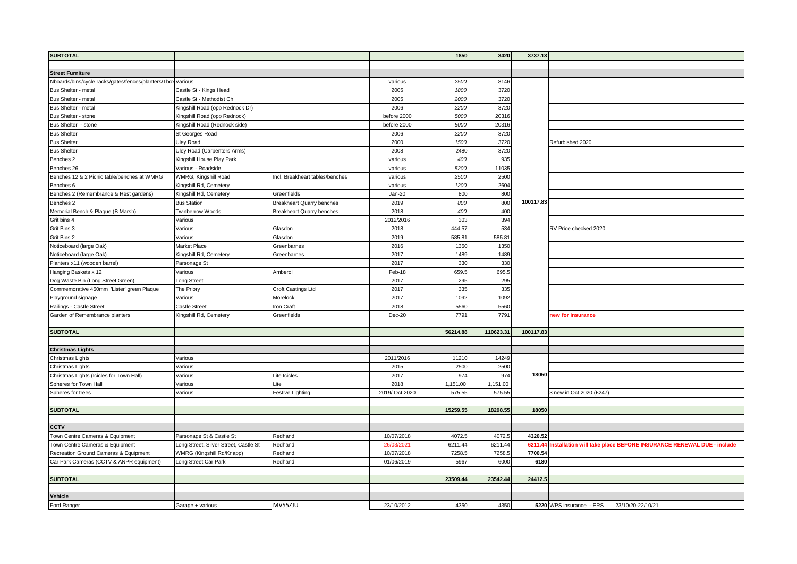| <b>SUBTOTAL</b>                                             |                                       |                                  |                | 1850     | 3420      | 3737.13   |                                                                     |
|-------------------------------------------------------------|---------------------------------------|----------------------------------|----------------|----------|-----------|-----------|---------------------------------------------------------------------|
|                                                             |                                       |                                  |                |          |           |           |                                                                     |
| <b>Street Furniture</b>                                     |                                       |                                  |                |          |           |           |                                                                     |
| Nboards/bins/cycle racks/gates/fences/planters/Tbox Various |                                       |                                  | various        | 2500     | 8146      |           |                                                                     |
| Bus Shelter - metal                                         | Castle St - Kings Head                |                                  | 2005           | 1800     | 3720      |           |                                                                     |
| Bus Shelter - metal                                         | Castle St - Methodist Ch              |                                  | 2005           | 2000     | 3720      |           |                                                                     |
| Bus Shelter - metal                                         | Kingshill Road (opp Rednock Dr)       |                                  | 2006           | 2200     | 3720      |           |                                                                     |
| Bus Shelter - stone                                         | Kingshill Road (opp Rednock)          |                                  | before 2000    | 5000     | 20316     |           |                                                                     |
| Bus Shelter - stone                                         | Kingshill Road (Rednock side)         |                                  | before 2000    | 5000     | 20316     |           |                                                                     |
| <b>Bus Shelter</b>                                          | St Georges Road                       |                                  | 2006           | 2200     | 3720      |           |                                                                     |
| <b>Bus Shelter</b>                                          | <b>Uley Road</b>                      |                                  | 2000           | 1500     | 3720      |           | Refurbished 2020                                                    |
| <b>Bus Shelter</b>                                          | Uley Road (Carpenters Arms)           |                                  | 2008           | 2480     | 3720      |           |                                                                     |
| Benches 2                                                   | Kingshill House Play Park             |                                  | various        | 400      | 935       |           |                                                                     |
| Benches 26                                                  | Various - Roadside                    |                                  | various        | 5200     | 11035     |           |                                                                     |
| Benches 12 & 2 Picnic table/benches at WMRG                 | WMRG, Kingshill Road                  | Incl. Breakheart tables/benches  | various        | 2500     | 2500      |           |                                                                     |
| Benches 6                                                   | Kingshill Rd, Cemetery                |                                  | various        | 1200     | 2604      |           |                                                                     |
| Benches 2 (Remembrance & Rest gardens)                      | Kingshill Rd, Cemetery                | Greenfields                      | Jan-20         | 800      | 800       |           |                                                                     |
| Benches 2                                                   | <b>Bus Station</b>                    | <b>Breakheart Quarry benches</b> | 2019           | 800      | 800       | 100117.83 |                                                                     |
| Memorial Bench & Plaque (B Marsh)                           | Twinberrow Woods                      | <b>Breakheart Quarry benches</b> | 2018           | 400      | 400       |           |                                                                     |
| Grit bins 4                                                 | Various                               |                                  | 2012/2016      | 303      | 394       |           |                                                                     |
| Grit Bins 3                                                 | Various                               | Glasdon                          | 2018           | 444.57   | 534       |           | RV Price checked 2020                                               |
| Grit Bins 2                                                 | Various                               | Glasdon                          | 2019           | 585.81   | 585.81    |           |                                                                     |
| Noticeboard (large Oak)                                     | <b>Market Place</b>                   | Greenbarnes                      | 2016           | 1350     | 1350      |           |                                                                     |
| Noticeboard (large Oak)                                     | Kingshill Rd, Cemetery                | Greenbarnes                      | 2017           | 1489     | 1489      |           |                                                                     |
| Planters x11 (wooden barrel)                                | Parsonage St                          |                                  | 2017           | 330      | 330       |           |                                                                     |
| Hanging Baskets x 12                                        | Various                               | Amberol                          | Feb-18         | 659.5    | 695.5     |           |                                                                     |
| Dog Waste Bin (Long Street Green)                           | Long Street                           |                                  | 2017           | 295      | 295       |           |                                                                     |
| Commemorative 450mm 'Lister' green Plaque                   | The Priory                            | Croft Castings Ltd               | 2017           | 335      | 335       |           |                                                                     |
| Playground signage                                          | Various                               | Morelock                         | 2017           | 1092     | 1092      |           |                                                                     |
| Railings - Castle Street                                    | Castle Street                         | Iron Craft                       | 2018           | 5560     | 5560      |           |                                                                     |
| Garden of Remembrance planters                              | Kingshill Rd, Cemetery                | Greenfields                      | $Dec-20$       | 7791     | 7791      |           | new for insurance                                                   |
|                                                             |                                       |                                  |                |          |           |           |                                                                     |
| <b>SUBTOTAL</b>                                             |                                       |                                  |                | 56214.88 | 110623.31 | 100117.83 |                                                                     |
|                                                             |                                       |                                  |                |          |           |           |                                                                     |
| <b>Christmas Lights</b>                                     |                                       |                                  |                |          |           |           |                                                                     |
| Christmas Lights                                            | Various                               |                                  | 2011/2016      | 11210    | 14249     |           |                                                                     |
| Christmas Lights                                            | Various                               |                                  | 2015           | 2500     | 2500      |           |                                                                     |
| Christmas Lights (Icicles for Town Hall)                    | Various                               | Lite Icicles                     | 2017           | 974      | 974       | 18050     |                                                                     |
| Spheres for Town Hall                                       | Various                               | Lite                             | 2018           | 1,151.00 | 1,151.00  |           |                                                                     |
| Spheres for trees                                           | Various                               | Festive Lighting                 | 2019/ Oct 2020 | 575.55   | 575.55    |           | 3 new in Oct 2020 (£247)                                            |
|                                                             |                                       |                                  |                |          |           |           |                                                                     |
| <b>SUBTOTAL</b>                                             |                                       |                                  |                | 15259.55 | 18298.55  | 18050     |                                                                     |
|                                                             |                                       |                                  |                |          |           |           |                                                                     |
| <b>CCTV</b>                                                 |                                       |                                  |                |          |           |           |                                                                     |
| Town Centre Cameras & Equipment                             | Parsonage St & Castle St              | Redhand                          | 10/07/2018     | 4072.    | 4072.5    | 4320.52   |                                                                     |
| Town Centre Cameras & Equipment                             | Long Street, Silver Street, Castle St | Redhand                          | 26/03/2021     | 6211.44  | 6211.44   | 6211.     | Installation will take place BEFORE INSURANCE RENEWAL DUE - include |
| Recreation Ground Cameras & Equipment                       | WMRG (Kingshill Rd/Knapp)             | Redhand                          | 10/07/2018     | 7258.5   | 7258.5    | 7700.54   |                                                                     |
| Car Park Cameras (CCTV & ANPR equipment)                    | Long Street Car Park                  | Redhand                          | 01/06/2019     | 5967     | 6000      | 6180      |                                                                     |
|                                                             |                                       |                                  |                |          |           |           |                                                                     |
| <b>SUBTOTAL</b>                                             |                                       |                                  |                | 23509.44 | 23542.44  | 24412.5   |                                                                     |
|                                                             |                                       |                                  |                |          |           |           |                                                                     |
| Vehicle                                                     |                                       |                                  |                |          |           |           |                                                                     |
| Ford Ranger                                                 | Garage + various                      | MV55ZJU                          | 23/10/2012     | 4350     | 4350      |           | 5220 WPS insurance - ERS<br>23/10/20-22/10/21                       |